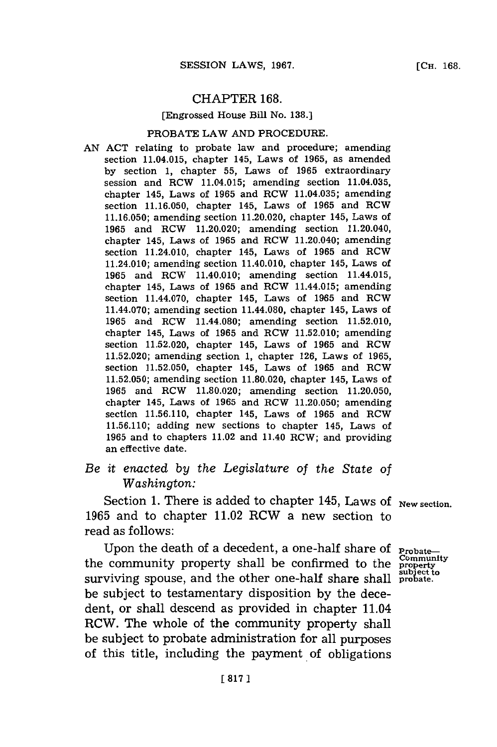### CHAPTER **168.**

## [Engrossed House Bill No. **138.]**

#### PROBATE LAW **AND** PROCEDURE.

**AN ACT** relating to probate law and procedure; amending section 11.04.015, chapter 145, Laws of **1965,** as amended **by** section **1,** chapter **55,** Laws of **1965** extraordinary session and RCW 11.04.015; amending section 11.04.035, chapter 145, Laws of **1965** and RCW 11.04.035; amending section **11.16.050,** chapter 145, Laws of **1965** and RCW **11.16.050;** amending section 11.20.020, chapter 145, Laws of **1965** and RCW 11.20.020; amending section 11.20.040, chapter 145, Laws of **1965** and RCW 11.20.040; amending section 11.24.010, chapter 145, Laws of **1965** and RCW 11.24.010; amending section 11.40.010, chapter 145, Laws of **1965** and RCW 11.40.010; amending section 11.44.015, chapter 145, Laws of **1965** and RCW 11.44.015; amending section 11.44.070, chapter 145, Laws of **1965** and RCW 11.44.070; amending section 11.44.080, chapter 145, Laws of **1965** and RCW 11.44.080; amending section **11.52.010,** chapter 145, Laws of **1965** and RCW **11.52.010;** amending section **11.52.020,** chapter 145, Laws of **1965** and RCW **11.52.020;** amending section **1,** chapter **126,** Laws of **1965,** section **11.52.050,** chapter 145, Laws of **1965** and RCW **11.52.050;** amending section **11.80.020,** chapter 145, Laws of **1965** and RCW **11.80.020;** amending section **11.20.050,** chapter 145, Laws of **1965** and RCW **11.20.050;** amending section **11.56.110,** chapter 145, Laws of **1965** and RCW **11.56.110;** adding new sections to chapter 145, Laws of **1965** and to chapters 11.02 and 11.40 RCW; and providing an effective date.

# *Be it enacted by the Legislature of the State of Washington:*

Section 1. There is added to chapter 145, Laws of <sub>New section.</sub> **1965** and to chapter 11.02 RCW a new section to read as follows:

Upon the death of a decedent, a one-half share of **Probate-**<br> **COMMUNIST** the community property shall be confirmed to the **Property** surviving spouse, and the other one-half share shall **probate.** be subject to testamentary disposition **by** the decedent, or shall descend as provided in chapter 11.04 RCW. The whole of the community property shall be subject to probate administration for all purposes of this title, including the payment. **of** obligations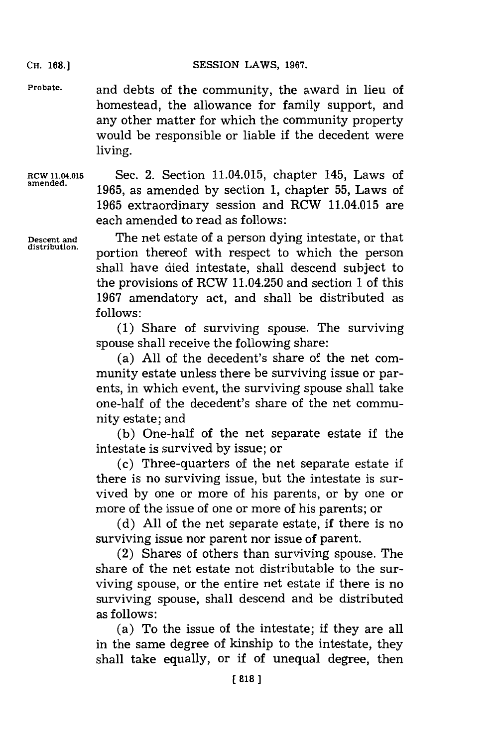SESSION LAWS, 1967.

**Probate.** and debts of the community, the award in lieu of homestead, the allowance for family support, and any other matter for which the community property would be responsible or liable if the decedent were living.

**RCW 11.04.015** Sec. 2. Section 11.04.015, chapter 145, Laws of amened. **1965,** as amended **by** section **1,** chapter **55,** Laws of **1965** extraordinary session and RCW 11.04.015 are each amended to read as follows:

**Descent and** The net estate of a person dying intestate, or that portion thereof with respect to which the person shall have died intestate, shall descend subject to the provisions of RCW 11.04.250 and section **1** of this **1967** amendatory act, and shall be distributed as **f ollows:**

> **(1)** Share of surviving spouse. The surviving spouse shall receive the following share:

> (a) **All** of the decedent's share of the net community estate unless there be surviving issue or parents, in which event, the surviving spouse shall take one-half of the decedent's share of the net community estate; and

> **(b)** One-half of the net separate estate if the intestate is survived **by** issue; or

> (c) Three-quarters of the net separate estate if there is no surviving issue, but the intestate is survived **by** one or more of his parents, or **by** one or more of the issue of one or more of his parents; or

> **(d) All** of the net separate estate, if there is no surviving issue nor parent nor issue of parent.

> (2) Shares of others than surviving spouse. The share of the net estate not distributable to the surviving spouse, or the entire net estate if there is no surviving spouse, shall descend and be distributed as follows:

> (a) To the issue of the intestate; if they are all in the same degree of kinship to the intestate, they shall take equally, or if of unequal degree, then

**CH. 168.]**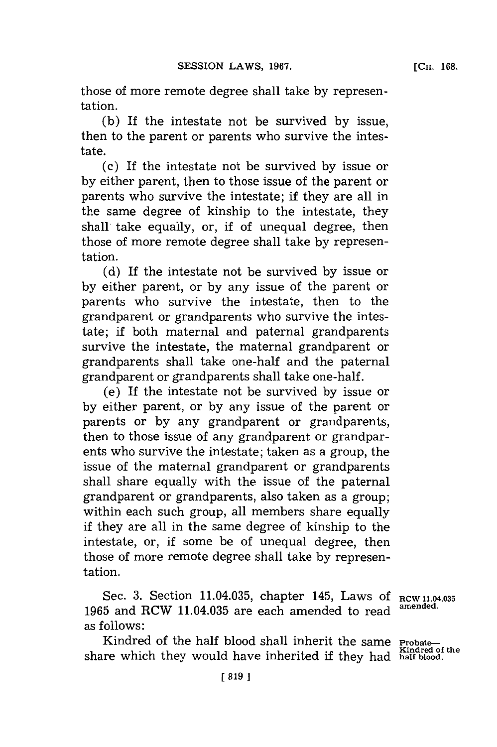those of more remote degree shall take **by** representation.

**(b)** If the intestate not be survived **by** issue, then to the parent or parents who survive the intestate.

(c) If the intestate not be survived **by** issue or **by** either parent, then to those issue of the parent or parents who survive the intestate; if they are all in the same degree of kinship to the intestate, they shall, take equally, or, if of unequal degree, then those of more remote degree shall take **by** representation.

**(d)** If the intestate not be survived **by** issue or **by** either parent, or **by** any issue of the parent or parents who survive the intestate, then to the grandparent or grandparents who survive the intestate; if both maternal and paternal grandparents survive the intestate, the maternal grandparent or grandparents shall take one-half and the paternal grandparent or grandparents shall take one-half.

(e) If the intestate not be survived **by** issue or **by** either parent, or **by** any issue of the parent or parents or **by** any grandparent or grandparents, then to those issue of any grandparent or grandparents who survive the intestate; taken as a group, the issue of the maternal grandparent or grandparents shall share equally with the issue of the paternal grandparent or grandparents, also taken as a group; within each such group, all members share equally if they are all in the same degree of kinship to the intestate, or, if some be of unequal degree, then those of more remote degree shall take **by** representation.

Sec. **3.** Section 11.04.035, chapter 145, Laws **Of** RCW 1.04.035 **1965** and RCW 11.04.035 are each amended to read **amended.** as follows:

Kindred of the half blood shall inherit the same **Probate**share which they would have inherited if they had half blood.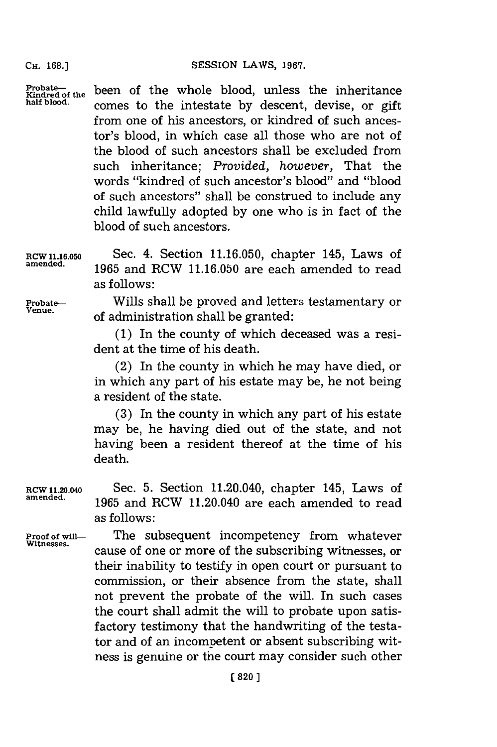**CH. 168.]**

Probate—<br> $X_{ind,red}$  been of the whole blood, unless the inheritance<br>half blood. comes to the intestate by descent, devise, or gift from one of his ancestors, or kindred of such ancestor's blood, in which case all those who are not of the blood of such ancestors shall be excluded from such inheritance; *Provided, however,* That the words "kindred of such ancestor's blood" and "blood of such ancestors" shall be construed to include any child lawfully adopted **by** one who is in fact of the blood of such ancestors.

**RCW 1.16.050** Sec. 4. Section **11.16.050,** chapter 145, Laws of **amended. 1965** and RCW **11.16.050** are each amended to read as follows:

**Probate—** Wills shall be proved and letters testamentary or of administration shall be granted:

> **(1)** In the county of which deceased was a resident at the time of his death.

> (2) In the county in which he may have died, or in which any part of his estate may be, he not being a resident of the state.

> **(3)** In the county in which any part of his estate may be, he having died out of the state, and not having been a resident thereof at the time of his death.

**RCW 11.20.040** Sec. **5.** Section 11.20.040, chapter 145, Laws of **amended. 1965** and RCW 11.20.040 are each amended to read as follows:

Proof of will—<br>Witnesses.<br>**Proof of will** cause of one or more of the subscribing witnesses, or their inability to testify in open court or pursuant to conmission, or their absence from the state, shall not prevent the probate of the will. In such cases the court shall admit the will to probate upon satisfactory testimony that the handwriting of the testator and of an incompetent or absent subscribing witness is genuine or the court may consider such other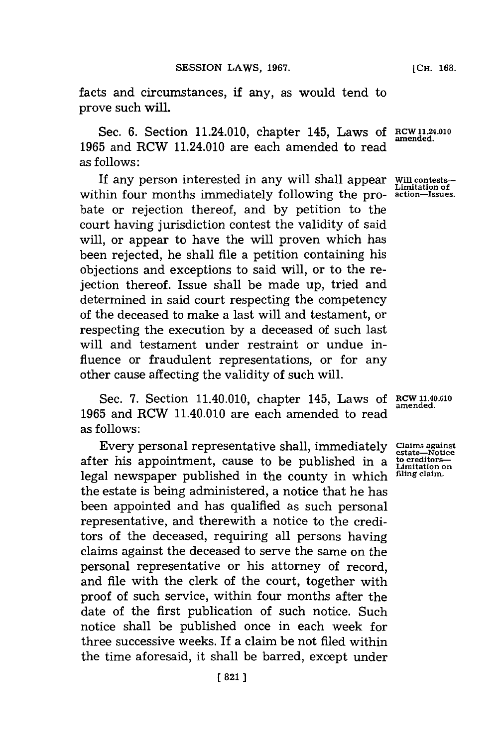facts and circumstances, if any, as would tend to prove such will.

Sec. 6. Section 11.24.010, chapter 145, Laws of RCW 11.24.01 **1965** and RCW 11.24.010 are each amended to read as follows:

If any person interested in any will shall appear within four months immediately following the probate or rejection thereof, and **by** petition to the court having jurisdiction contest the validity of said will, or appear to have the will proven which has been rejected, he shall file a petition containing his objections and exceptions to said will, or to the rejection thereof. Issue shall be made up, tried and determined in said court respecting the competency of the deceased to make a last will and testament, or respecting the execution **by** a deceased of such last will and testament under restraint or undue influence or fraudulent representations, or for any other cause affecting the validity of such will.

Sec. **7.** Section 11.40.010, chapter 145, Laws of **1965** and RCW 11.40.010 are each amended to read as follows:

Every personal representative shall, immediately after his appointment, cause to be published in a legal newspaper published in the county in which the estate is being administered, a notice that he has been appointed and has qualified as such personal representative, and therewith a notice to the creditors of the deceased, requiring all persons having claims against the deceased to serve the same on the personal representative or his attorney of record, and file with the clerk of the court, together with proof of such service, within four months after the date of the first publication of such notice. Such notice shall be published once in each week for three successive weeks. If a claim be not filed within the time aforesaid, it shall be barred, except under

**Will contests-Limitation of action-Issues.**

**RCW 11.40.010 amended.**

**Claims against estate-Notice to creditors-Limitation on filing claim.**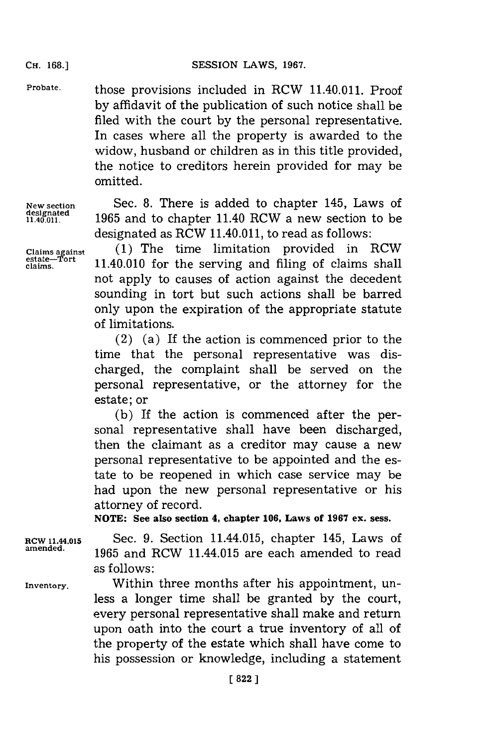**Probate.** those provisions included in RCW 11.40.011. Proof **by** affidavit of the publication of such notice shall be filed with the court **by** the personal representative. In cases where all the property is awarded to the widow, husband or children as in this title provided, the notice to creditors herein provided for may be omitted.

**designated**

**New section** Sec. **8.** There is added to chapter 145, Laws of **11.40.011. 1965** and to chapter 11.40 RCW a new section to be designated as RCW 11.40.011, to read as follows:

**Claims against (1)** The time limitation provided in RCW 11.40.010 for the serving and filing of claims shall not apply to causes of action against the decedent sounding in tort but such actions shall be barred only upon the expiration of the appropriate statute of limitations.

> (2) (a) If the action is commenced prior to the time that the personal representative was discharged, the complaint shall be served on the personal representative, or the attorney for the estate; or

> **(b)** If the action is commenced after the personal representative shall have been discharged, then the claimant as a creditor may cause a new personal representative to be appointed and the estate to be reopened in which case service may be had upon the new personal representative or his attorney of record.

**NOTE: See also section 4, chapter 106, Laws of 1967 ex. sess.**

**RCW 11.44.015** Sec. **9.** Section 11.44.015, chapter 145, Laws of **amended. 1965** and RCW 11.44.015 are each amended to read as follows:

**Inventory.** Within three months after his appointment, unless a longer time shall be granted **by** the court, every personal representative shall make and return upon oath into the court a true inventory of all of the property of the estate which shall have come to his possession or knowledge, including a statement

**CH. 168.]**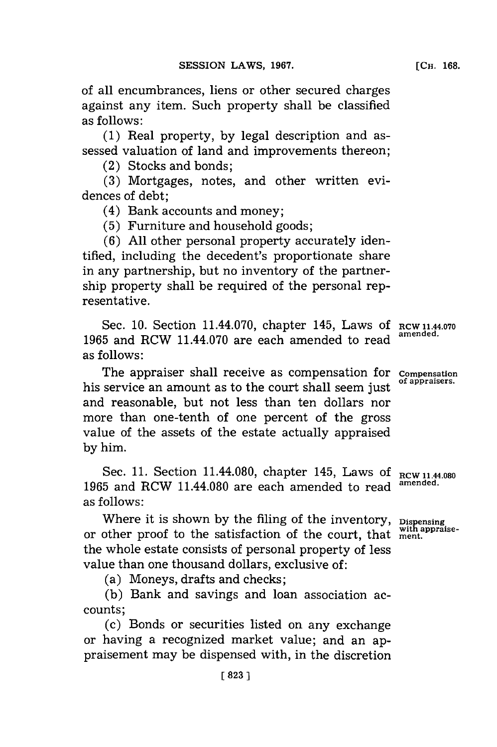of all encumbrances, liens or other secured charges against any item. Such property shall be classified

as follows: **(1)** Real property, **by** legal description and assessed valuation of land and improvements thereon;

(2) Stocks and bonds;

**(3)** Mortgages, notes, and other written evidences of debt;

(4) Bank accounts and money;

**(5)** Furniture and household goods;

**(6) All** other personal property accurately identified, including the decedent's proportionate share in any partnership, but no inventory of the partnership property shall be required of the personal representative.

Sec. 10. Section 11.44.070, chapter 145, Laws of RCW 11.44.070 **<sup>1965</sup>**and RCW 11.44.070 are each amended to read **amended.** as follows:

The appraiser shall receive as compensation for **Compensation** his service an amount as to the court shall seem just **of appraisers.** and reasonable, but not less than ten dollars nor more than one-tenth of one percent of the gross value of the assets of the estate actually appraised **by** him.

Sec. 11. Section 11.44.080, chapter 145, Laws of RCW 11.44.080 **1965** and RCW 11.44.080 are each amended to read **amended.** as **follows**:

Where it is shown by the filing of the inventory, **Dispensing**<br>other <u>proof</u> to the estigfaction of the count that with appraiseor other proof to the satisfaction of the court, that ment. the whole estate consists of personal property of less value than one thousand dollars, exclusive of:

(a) Moneys, drafts and checks;

**(b)** Bank and savings and loan association accounts;

(c) Bonds or securities listed on any exchange or having a recognized market value; and an appraisement may be dispensed with, in the discretion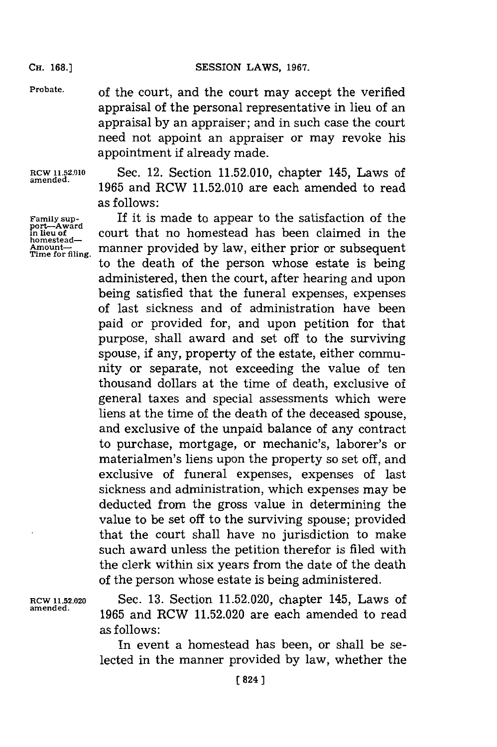**CH. 168.]**

**Probate,** of the court, and the court may accept the verified appraisal of the personal representative in lieu of an appraisal **by** an appraiser; and in such case the court need not appoint an appraiser or may revoke his appointment if already made.

**amended.**

**port-Award homestead-**

**ROW 11.52.010** Sec. 12. Section **11.52.010,** chapter 145, Laws of **1965** and RCW **11.52.010** are each amended to read as follows:

If it is made to appear to the satisfaction of the court that no homestead has been claimed in the Amount<sub>-</sub><br>Amount-<br>Time for filing. to the death of the person whose estate is being administered, then the court, after hearing and upon being satisfied that the funeral expenses, expenses of last sickness and of administration have been paid or provided for, and upon petition for that purpose, shall award and set off to the surviving spouse, if any, property of the estate, either community or separate, not exceeding the value of ten thousand dollars at the time of death, exclusive of general taxes and special assessments which were liens at the time of the death of the deceased spouse, and exclusive of the unpaid balance of any contract to purchase, mortgage, or mechanic's, laborer's or materialmen's liens upon the property so set off, and exclusive of funeral expenses, expenses of last sickness and administration, which expenses may be deducted from the gross value in determining the value to be set off to the surviving spouse; provided that the court shall have no jurisdiction to make such award unless the petition therefor is filed with the clerk within six years from the date of the death of the person whose estate is being administered.

**RCW 11.52.020** Sec. **13.** Section **11.52.020,** chapter 145, Laws of **amended. 1965** and RCW **11.52.020** are each amended to read as follows:

> In event a homestead has been, or shall be selected in the manner provided **by** law, whether the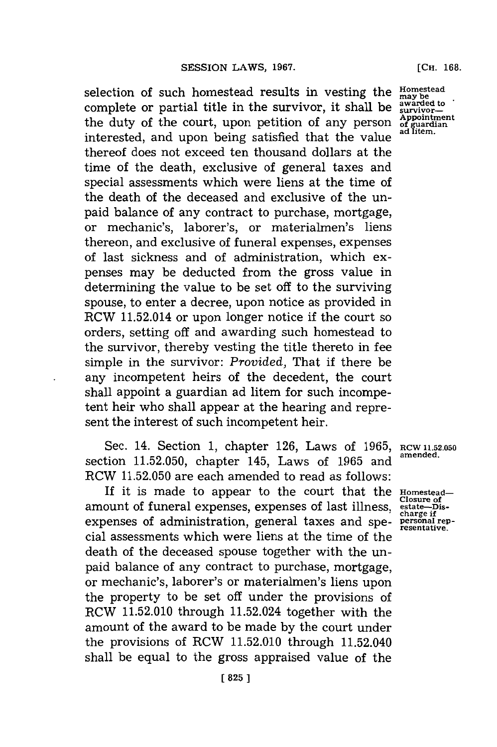selection of such homestead results in vesting the manufacture community of the may be awarded to complete or partial title in the survivor, it shall be  $\frac{\text{awarded}}{\text{survivor}}$ the duty of the court, upon petition of any person **of guardian**<br>interacted and uncer heims estimated that the rules ad litem. interested, and upon being satisfied that the value thereof does not exceed ten thousand dollars at the time of the death, exclusive of general taxes and special assessments which were liens at the time of the death of the deceased and exclusive of the unpaid balance of any contract to purchase, mortgage, or mechanic's, laborer's, or materialmen's liens thereon, and exclusive of funeral expenses, expenses of last sickness and of administration, which expenses may be deducted from the gross value in determining the value to be set off to the surviving spouse, to enter a decree, upon notice as provided in RCW 11.52.014 or upon longer notice if the court so orders, setting off and awarding such homestead to the survivor, thereby vesting the title thereto in fee simple in the survivor: *Provided,* That if there be any incompetent heirs of the decedent, the court shall appoint a guardian ad litem for such incompetent heir who shall appear at the hearing and represent the interest of such incompetent heir.

Sec. 14. Section 1, chapter 126, Laws of 1965, RCW 11.52.050 section 11.52.050, chapter 145, Laws of 1965 and RCW **11.52.050** are each amended to read as follows:

If it is made to appear to the court that the **Homestead** amount of funeral expenses, expenses of last illness, **estate--jss**expenses of administration, general taxes and spe- **personal rep**cial assessments which were liens at the time of the death of the deceased spouse together with the unpaid balance of any contract to purchase, mortgage, or mechanic's, laborer's or materialmen's liens upon the property to be set off under the provisions of RCW **11.52.010** through 11.52.024 together with the amount of the award to be made **by** the court under the provisions of RCW **11.52.010** through 11.52.040 shall be equal to the gross appraised value of the

[Cii. **168.**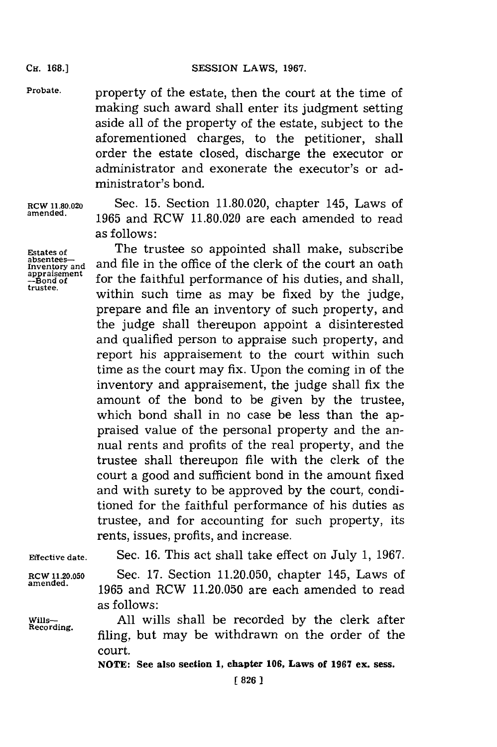**Probate,** property of the estate, then the court at the time of making such award shall enter its judgment setting aside all of the property of the estate, subject to the aforementioned charges, to the petitioner, shall order the estate closed, discharge the executor or administrator and exonerate the executor's or administrator's bond.

**Inventory and<br>appraisement**<br>--Bond of

**RCW 11.80.020** Sec. **15.** Section **11.80.020,** chapter 145, Laws of **amended. 1965** and RCW **11.80.020** are each amended to read as follows:

Estates of The trustee so appointed shall make, subscribe<br>absentees-Estates of **discute in the trustee so appointed shall make, subscribe**<br>absentees—<br>Inventory and and file in the office of the clerk of the court an oath appraisement<br>--Bond of *f* for the faithful performance of his duties, and shall, within such time as may be fixed by the judge, prepare and file an inventory of such property, and the judge shall thereupon appoint a disinterested and qualified person to appraise such property, and report his appraisement to the court within such time as the court may fix. Upon the coming in of the inventory and appraisement, the judge shall fix the amount of the bond to be given **by** the trustee, which bond shall in no case be less than the appraised value of the personal property and the annual rents and profits of the real property, and the trustee shall thereupon file with the clerk of the court a good and sufficient bond in the amount fixed and with surety to be approved **by** the court, conditioned for the faithful performance of his duties as trustee, and for accounting for such property, its rents, issues, profits, and increase.

**Effective date.** Sec. **16.** This act shall take effect on July **1, 1967. RCWl1.20.050** Sec. **17.** Section **11.20.050,** chapter 145, Laws of **amended. 1965** and RCW **11.20.050** are each amended to read as follows: Wills- **All** wills shall be recorded **by** the clerk after filing, but may be withdrawn on the order of the court.

**NOTE: See also section 1, chapter 106, Laws of 1967 ex. sess.**

Cir. **168.]**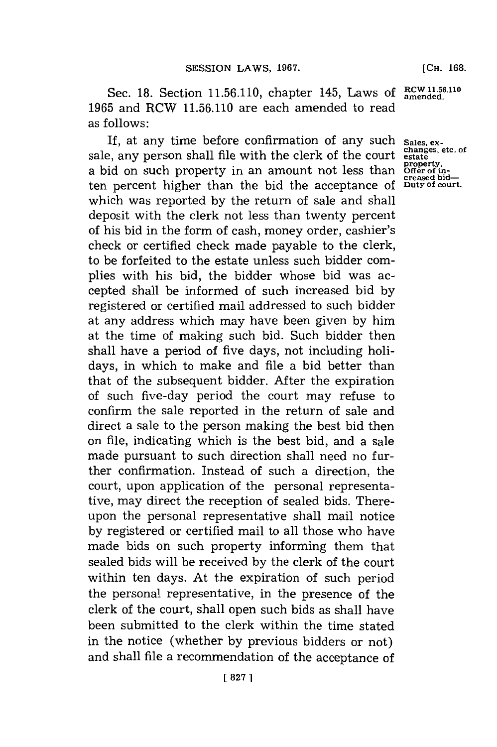Sec. 18. Section 11.56.110, chapter 145, Laws of RCW 11.56.110 **1965** and RCW **11.56.110** are each amended to read as **follows**:

If, at any time before confirmation of any such sales, ex-It, at any time before confirmation of any such sales, ex-<br>sale, any person shall file with the clerk of the court estate a bid on such property in an amount not less than ten percent higher than the bid the acceptance of which was reported **by** the return of sale and shall deposit with the clerk not less than twenty percent of his bid in the form of cash, money order, cashier's check or certified check made payable to the clerk, to be forfeited to the estate unless such bidder complies with his bid, the bidder whose bid was accepted shall be informed of such increased bid **by** registered or certified mail addressed to such bidder at any address which may have been given **by** him at the time of making such bid. Such bidder then shall have a period of five days, not including holidays, in which to make and file a bid better than that of the subsequent bidder. After the expiration of such five-day period the court may refuse to confirm the sale reported in the return of sale and direct a sale to the person making the best bid then on file, indicating which is the best bid, and a sale made pursuant to such direction shall need no further confirmation. Instead of such a direction, the court, upon application of the personal representative, may direct the reception of sealed bids. Thereupon the personal representative shall mail notice **by** registered or certified mail to all those who have made bids on such property informing them that sealed bids will be received **by** the clerk of the court within ten days. At the expiration of such period the personal representative, in the presence of the clerk of the court, shall open such bids as shall have been submitted to the clerk within the time stated in the notice (whether **by** previous bidders or not) and shall file a recommendation of the acceptance of

**property. Offer of in-creased bid-Duty of court.**